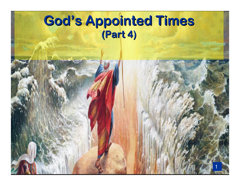#### God's Appointed Times(Part 4)

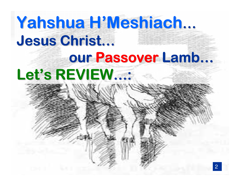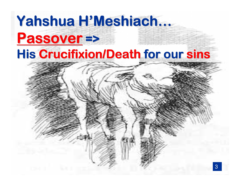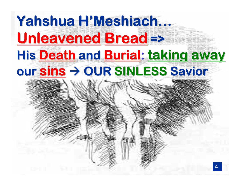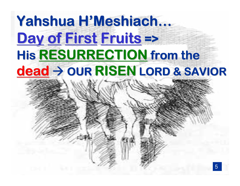# Yahshua H'Meshiach... Day of First Eruits => His RESURRECTION from the dead > OUR RISEN LORD & SAVIOR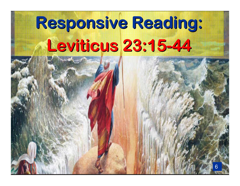#### Responsive Reading Leviticus 23:15-44**:**



6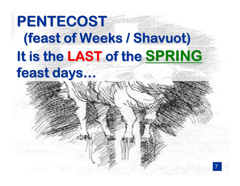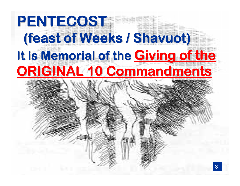## PENTECOST (feast of Weeks / Shavuot)8It is Memorial of the Giving of the ORIGINAL 10 Commandments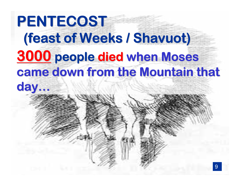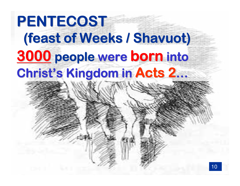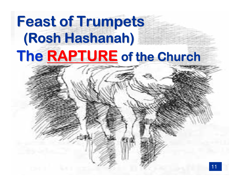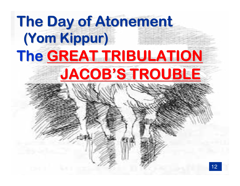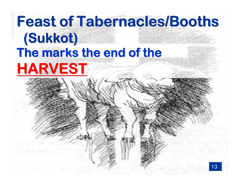# **Feast of Tabernacles/Booths** (Sukkot) The marks the end of the HARVEST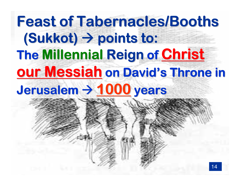### 14The Millennial Reign of Christ our Messiah on David's Throne in Jerusalem → 1000 years Feast of Tabernacles/Booths $(Sukkot) \rightarrow points to:$ he Millennial Reign of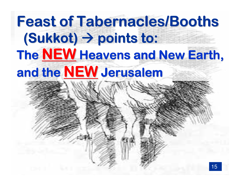## The <u>NEW</u> Heavens and New Earth,<br>and the NFW Jerusalem and the NEW Jerusalem Feast of Tabernacles/Booths $(Sukkot) \rightarrow points to:$ he NFW Heavens and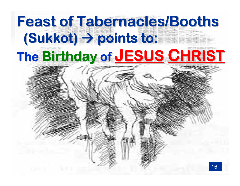### The Birthday of JESUS CHRIST Feast of Tabernacles/Booths $(Sukkot) \rightarrow points to:$ ho Pirthelaw of IESTIC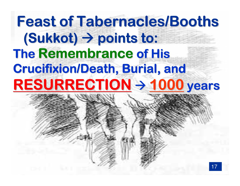### The Remembrance of His Crucifixion/Death, Burial, and RESURRECTION > 1000 years Feast of Tabernacles/Booths $(Sukkot) \rightarrow points to:$ ne Remembrance of H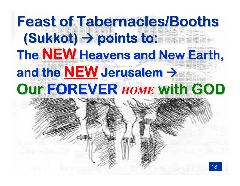### The <u>NEW Heavens and New Earth,</u><br>and the NEW Jerusalem <del>-</del> and the NEW Jerusalem  $\rightarrow$ <br>Our EOREVER HOME Wit Our FOREVER *HOME* with GODFeast of Tabernacles/Booths $(Sukkot) \rightarrow points to:$ he NFW Heavens and